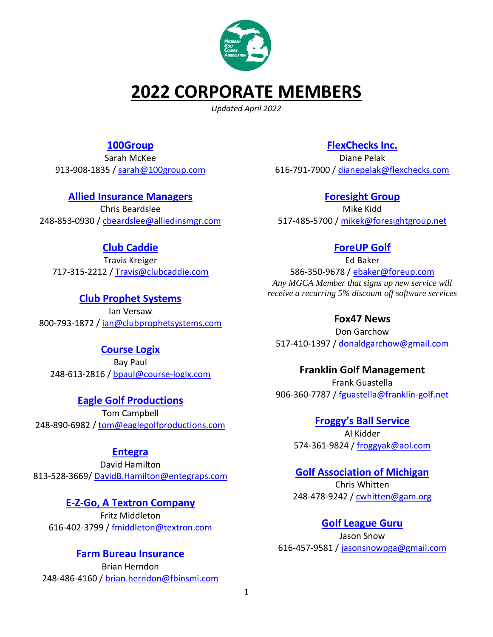

# **2022 CORPORATE MEMBERS**

*Updated April 2022*

# **[100Group](https://100group.com/)**

Sarah McKee 913-908-1835 / [sarah@100group.com](mailto:sarah@100group.com)

# **[Allied Insurance Managers](http://alliedinsmgr.com/)**

Chris Beardslee 248-853-0930 / [cbeardslee@alliedinsmgr.com](mailto:cbeardslee@alliedinsmgr.com)

# **[Club Caddie](https://clubcaddie.com/)**

Travis Kreiger 717-315-2212 / [Travis@clubcaddie.com](mailto:Travis@clubcaddie.com)

**[Club Prophet Systems](http://www.clubprophetsystems.com/)** Ian Versaw 800-793-1872 / [ian@clubprophetsystems.com](mailto:ian@clubprophetsystems.com)

## **[Course Logix](https://www.course-logix.com/)**

Bay Paul 248-613-2816 / [bpaul@course-logix.com](mailto:bpaul@course-logix.com)

**[Eagle Golf Productions](https://www.eaglegolfproductions.com/)** Tom Campbell 248-890-6982 / [tom@eaglegolfproductions.com](mailto:tom@eaglegolfproductions.com)

## **[Entegra](http://intlclubsuppliers.com/)**

David Hamilton 813-528-3669/ [DavidB.Hamilton@entegraps.com](mailto:DavidB.Hamilton@entegraps.com)

## **[E-Z-Go, A Textron Company](https://ezgo.txtsv.com/)**

Fritz Middleton 616-402-3799 [/ fmiddleton@textron.com](file:///C:/Users/Milt/Desktop/CORP%20MEMBERSHIP/fmiddleton@textron.com)

## **[Farm Bureau Insurance](https://www.farmbureauinsurance-mi.com/Agent/Brian-Herndon/)**

Brian Herndon 248-486-4160 [/ brian.herndon@fbinsmi.com](mailto:brian.herndon@fbinsmi.com)

# **[FlexChecks Inc.](http://flexchecks.com/)**

Diane Pelak 616-791-7900 / [dianepelak@flexchecks.com](mailto:dianepelak@flexchecks.com)

### **[Foresight Group](https://www.foresightgroup.net/)**

Mike Kidd 517-485-5700 / [mikek@foresightgroup.net](mailto:mikek@foresightgroup.net)

# **[ForeUP](https://www.foreupgolf.com/) Golf**

Ed Baker 586-350-9678 / [ebaker@foreup.com](mailto:ebaker@foreup.com) *Any MGCA Member that signs up new service will receive a recurring 5% discount off software services*

#### **Fox47 News**

Don Garchow 517-410-1397 [/ donaldgarchow@gmail.com](mailto:donaldgarchow@gmail.com)

#### **Franklin Golf Management**

Frank Guastella 906-360-7787 / [fguastella@franklin-golf.net](mailto:fguastella@franklin-golf.net)

> **[Froggy's Ball Service](http://froggysballservice.com/)** Al Kidder 574-361-9824 / [froggyak@aol.com](mailto:froggyak@aol.com)

## **[Golf Association of Michigan](https://www.gam.org/)**

Chris Whitten 248-478-9242 / [cwhitten@gam.org](mailto:cwhitten@gam.org)

## **[Golf League Guru](https://golfleagueguru.com/?gclid=CjwKCAjw07qDBhBxEiwA6pPbHtSzFTzN6DD5ICJCufyQhku5OB9LD9SmbkD9z-Jq9_zyZPJ5knwxIBoC6lcQAvD_BwE)**

Jason Snow 616-457-9581 [/ jasonsnowpga@gmail.com](mailto:jasonsnowpga@gmail.com)

1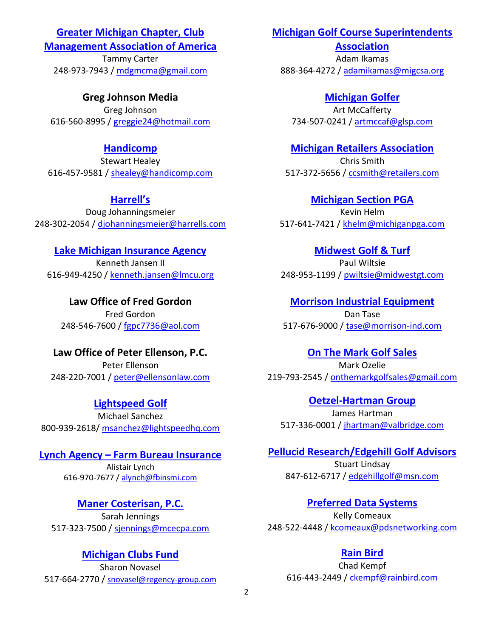#### **[Greater Michigan Chapter, Club](https://www.gmcma.cc/)**

**[Management Association of America](https://www.gmcma.cc/)**

Tammy Carter 248-973-7943 [/ mdgmcma@gmail.com](mailto:mdgmcma@gmail.com)

**Greg Johnson Media** Greg Johnson 616-560-8995 / [greggie24@hotmail.com](mailto:greggie24@hotmail.com)

### **[Handicomp](http://handicomp.com/)**

Stewart Healey 616-457-9581 / [shealey@handicomp.com](mailto:shealey@handicomp.com)

**Ha[rrell's](https://www.harrells.com/)**

Doug Johanningsmeier 248-302-2054 / [djohanningsmeier@harrells.com](mailto:djohanningsmeier@harrells.com)

### **[Lake Michigan Insurance Agency](https://lmcu.org/insurance/business/)**

Kenneth Jansen II 616-949-4250 [/ kenneth.jansen@lmcu.org](mailto:kenneth.jansen@lmcu.org)

**Law Office of Fred Gordon** Fred Gordon 248-546-7600 / [fgpc7736@aol.com](mailto:fgpc7736@aol.com)

**Law Office of Peter Ellenson, P.C.** Peter Ellenson 248-220-7001 / [peter@ellensonlaw.com](mailto:peter@ellensonlaw.com)

**[Lightspeed](https://www.lightspeedhq.com/golf/) Golf** Michael Sanchez 800-939-2618/ [msanchez@lightspeedhq.com](mailto:msanchez@lightspeedhq.com)

#### **Lynch Agency – [Farm Bureau Insurance](http://www.lynchfbi.com/)**

Alistair Lynch 616-970-7677 / [alynch@fbinsmi.com](mailto:alynch@fbinsmi.com)

#### **[Maner Costerisan, P.C.](https://www.manercpa.com/)**

Sarah Jennings 517-323-7500 / [sjennings@mcecpa.com](mailto:sjennings@mcecpa.com)

## **[Michigan Clubs Fund](http://miclubsfund.org/)**

Sharon Novasel 517-664-2770 / [snovasel@regency-group.com](mailto:snovasel@regency-group.com)

### **[Michigan Golf Course Superintendents](https://www.migcsa.org/)**

**[Association](https://www.migcsa.org/)** Adam Ikamas 888-364-4272 [/ adamikamas@migcsa.org](mailto:adamikamas@migcsa.org)

**[Michigan Golfer](http://www.michigangolfer.com/)** Art McCafferty 734-507-0241 / [artmccaf@glsp.com](mailto:artmccaf@glsp.com)

#### **[Michigan Retailers Association](https://www.retailers.com/)**

Chris Smith 517-372-5656 / [ccsmith@retailers.com](mailto:ccsmith@retailers.com)

**[Michigan Section PGA](http://www.michigan.pga.com/)** Kevin Helm 517-641-7421 / [khelm@michiganpga.com](mailto:khelm@michiganpga.com)

## **[Midwest Golf & Turf](https://midwestgolfandturf.com/)**

Paul Wiltsie 248-953-1199 / [pwiltsie@midwestgt.com](mailto:pwiltsie@midwestgt.com)

**[Morrison Industrial Equipment](https://www.morrison-ind.com/pages/view/551)** Dan Tase 517-676-9000 / [tase@morrison-ind.com](mailto:tase@morrison-ind.com)

#### **[On](https://jandmgolf.com/) The Mark Golf Sales**

Mark Ozelie 219-793-2545 / [onthemarkgolfsales@gmail.com](mailto:onthemarkgolfsales@gmail.com)

**[Oetzel-Hartman Group](http://www.ohgroup.us/)** James Hartman 517-336-0001 / [jhartman@valbridge.com](mailto:jhartman@valbridge.com)

**[Pellucid Research/Edgehill Golf Advisors](https://www.pellucidcorp.com/)** Stuart Lindsay

847-612-6717 / [edgehillgolf@msn.com](mailto:edgehillgolf@msn.com)

#### **[Preferred Data Systems](https://www.pdsnetworking.com/)**

Kelly Comeaux 248-522-4448 / [kcomeaux@pdsnetworking.com](mailto:kcomeaux@pdsnetworking.com)

#### **[Rain Bird](http://www.rainbird.com/)**

Chad Kempf 616-443-2449 / [ckempf@rainbird.com](mailto:ckempf@rainbird.com)